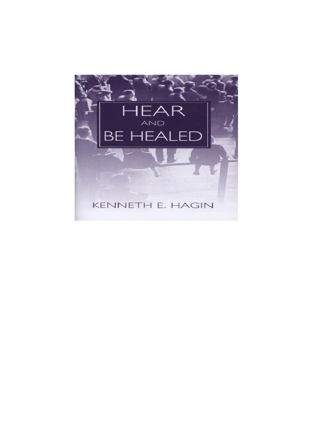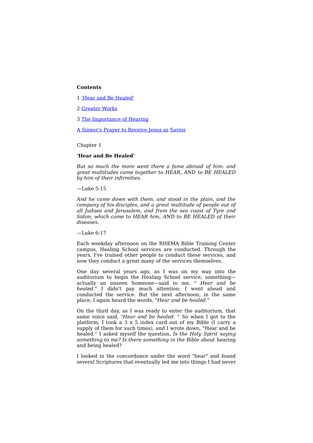# **Contents**

1 'Hear and Be Healed'

2 Greater Works

3 The Importance of Hearing

A Sinner's Prayer to Receive Jesus as Savior

Chapter 1

# **'Hear and Be Healed'**

*But so much the more went there a fame abroad of him: and great multitudes came together to HEAR, AND to BE HEALED by him of their infirmities.*

—Luke 5:15

*And he came down with them, and stood in the plain, and the company of his disciples, and a great multitude of people out of all Judaea and Jerusalem, and from the sea coast of Tyre and Sidon, which came to HEAR him, AND to BE HEALED of their diseases.*

—Luke 6:17

Each weekday afternoon on the RHEMA Bible Training Center campus, Healing School services are conducted. Through the years, I've trained other people to conduct these services, and now they conduct a great many of the services themselves.

One day several years ago, as I was on my way into the auditorium to begin the Healing School service, something actually an unseen Someone—said to me, " *Hear and be healed."* I didn't pay much attention; I went ahead and conducted the service. But the next afternoon, in the same place, I again heard the words, *"Hear and be healed."*

On the third day, as I was ready to enter the auditorium, that same voice said, *"Hear and be healed.* " So when I got to the platform, I took a 3 x 5 index card out of my Bible (I carry a supply of them for such times), and I wrote down, "Hear and be healed." I asked myself the question, *Is the Holy Spirit saying something to me? Is there something in the Bible about* hearing and being healed?

I looked in the concordance under the word "hear" and found several Scriptures that eventually led me into things I had never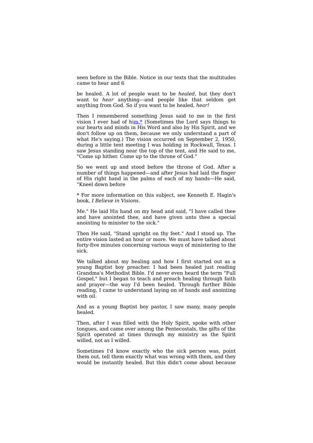seen before in the Bible. Notice in our texts that the multitudes came to hear and 6

be healed. A lot of people want to be *healed,* but they don't want to *hear* anything—and people like that seldom get anything from God. So if you want to be healed, *hear!*

Then I remembered something Jesus said to me in the first vision I ever had of him.\* (Sometimes the Lord says things to our hearts and minds in His Word and also by His Spirit, and we don't follow up on them, because we only understand a part of what He's saying.) The vision occurred on September 2, 1950, during a little tent meeting I was holding in Rockwall, Texas. I saw Jesus standing near the top of the tent, and He said to me, "Come up hither. Come up to the throne of God."

So we went up and stood before the throne of God. After a number of things happened—and after Jesus had laid the finger of His right hand in the palms of each of my hands—He said, "Kneel down before

\* For more information on this subject, see Kenneth E. Hagin's book, *I Believe in Visions*.

Me." He laid His hand on my head and said, "I have called thee and have anointed thee, and have given unto thee a special anointing to minister to the sick."

Then He said, "Stand upright on thy feet." And I stood up. The entire vision lasted an hour or more. We must have talked about forty-five minutes concerning various ways of ministering to the sick.

We talked about my healing and how I first started out as a young Baptist boy preacher. I had been healed just reading Grandma's Methodist Bible. I'd never even heard the term "Full Gospel," but I began to teach and preach healing through faith and prayer—the way I'd been healed. Through further Bible reading, I came to understand laying on of hands and anointing with oil.

And as a young Baptist boy pastor, I saw many, many people healed.

Then, after I was filled with the Holy Spirit, spoke with other tongues, and came over among the Pentecostals, the gifts of the Spirit operated at times through my ministry as the Spirit willed, not as I willed.

Sometimes I'd know exactly who the sick person was, point them out, tell them exactly what was wrong with them, and they would be instantly healed. But this didn't come about because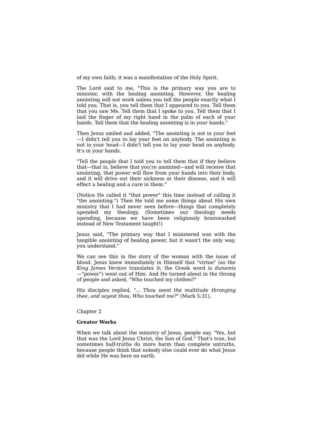of my own faith; it was a manifestation of the Holy Spirit.

The Lord said to me, "This is the primary way you are to minister, with the healing anointing. However, the healing anointing will not work unless you tell the people exactly what I told you. That is, you tell them that I appeared to you. Tell them that you saw Me. Tell them that I spoke to you. Tell them that I laid the finger of my right hand in the palm of each of your hands. Tell them that the healing anointing is in your hands."

Then Jesus smiled and added, "The anointing is not in your feet —I didn't tell you to lay your feet on anybody. The anointing is not in your head—I didn't tell you to lay your head on anybody. It's in your hands.

"Tell the people that I told you to tell them that if they believe that—that is, believe that you're anointed—and will receive that anointing, that power will flow from your hands into their body, and it will drive out their sickness or their disease, and it will effect a healing and a cure in them."

(Notice He called it "that power" this time instead of calling it "the anointing.") Then He told me some things about His own ministry that I had never seen before—things that completely upended my theology. (Sometimes our theology needs upending, because we have been religiously brainwashed instead of New Testament taught!)

Jesus said, "The primary way that I ministered was with the tangible anointing of healing power, but it wasn't the only way, you understand."

We can see this in the story of the woman with the issue of blood. Jesus knew immediately in Himself that "virtue" (as the *King James Version* translates it; the Greek word is *dunamis —*"power") went out of Him. And He turned about in the throng of people and asked, "Who touched my clothes?"

His disciples replied, *"... Thou seest the multitude thronging thee, and sayest thou, Who touched me?"* (Mark 5:31).

## Chapter 2

# **Greater Works**

When we talk about the ministry of Jesus, people say, "Yes, but that was the Lord Jesus Christ, the Son of God." That's true, but sometimes half-truths do more harm than complete untruths, because people think that nobody else could ever do what Jesus did while He was here on earth.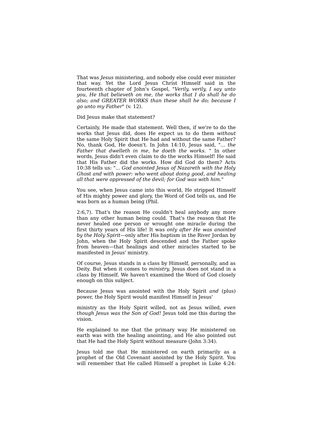That was *Jesus* ministering, and nobody else could ever minister that way. Yet the Lord Jesus Christ Himself said in the fourteenth chapter of John's Gospel, *"Verily, verily, I say unto you, He that believeth on me, the works that I do shall he do also; and GREATER WORKS than these shall he do; because I go unto my Father"* (v. 12).

Did Jesus make that statement?

Certainly, He made that statement. Well then, if we're to do the works that Jesus did, does He expect us to do them *without* the same Holy Spirit that He had and without the same Father? No, thank God, He doesn't. In John 14:10, Jesus said, "... *the Father that dwelleth in me, he doeth the works.* " In other words, Jesus didn't even claim to do the works Himself! He said that His Father did the works. How did God do them? Acts 10:38 tells us: "... *God anointed Jesus of Nazareth with the Holy Ghost and with power: who went about doing good, and healing all that were oppressed of the devil; for God was with him."*

You see, when Jesus came into this world, He stripped Himself of His mighty power and glory, the Word of God tells us, and He was born as a human being (Phil.

2:6,7). That's the reason He couldn't heal anybody any more than any other human being could. That's the reason that He never healed one person or wrought one miracle during the first thirty years of His life! It was *only after He was anointed by the Holy Spirit*—only after His baptism in the River Jordan by John, when the Holy Spirit descended and the Father spoke from heaven—that healings and other miracles started to be manifested in Jesus' ministry.

Of course, Jesus stands in a class by Himself, personally, and as Deity. But when it comes to *ministry,* Jesus does not stand in a class by Himself. We haven't examined the Word of God closely enough on this subject.

Because Jesus was anointed with the Holy Spirit *and* (plus) power, the Holy Spirit would manifest Himself in Jesus'

ministry as the Holy Spirit willed, not as Jesus willed, *even though Jesus was the Son of God!* Jesus told me this during the vision.

He explained to me that the primary way He ministered on earth was with the healing anointing, and He also pointed out that He had the Holy Spirit without measure (John 3:34).

Jesus told me that He ministered on earth primarily as a prophet of the Old Covenant anointed by the Holy Spirit. You will remember that He called Himself a prophet in Luke 4:24: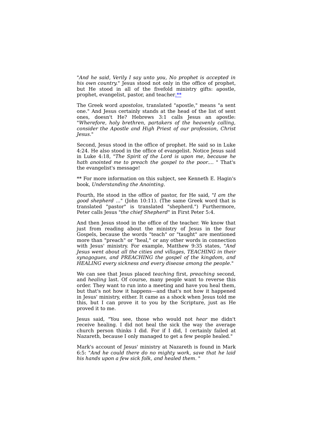*"And he said, Verily I say unto you, No prophet is accepted in his own country."* Jesus stood not only in the office of prophet, but He stood in all of the fivefold ministry gifts: apostle, prophet, evangelist, pastor, and teacher.\*\*

The Greek word *apostolos,* translated "apostle," means "a sent one." And Jesus certainly stands at the head of the list of sent ones, doesn't He? Hebrews 3:1 calls Jesus an apostle: *"Wherefore, holy brethren, partakers of the heavenly calling, consider the Apostle and High Priest of our profession, Christ Jesus."*

Second, Jesus stood in the office of prophet. He said so in Luke 4:24. He also stood in the office of evangelist. Notice Jesus said in Luke 4:18, *"The Spirit of the Lord is upon me, because he hath anointed me to preach the gospel to the poor....* " That's the evangelist's message!

\*\* For more information on this subject, see Kenneth E. Hagin's book, *Understanding the Anointing.*

Fourth, He stood in the office of pastor, for He said, *"I am the good shepherd* ..." (John 10:11). (The same Greek word that is translated "pastor" is translated "shepherd.") Furthermore, Peter calls Jesus *"the chief Shepherd"* in First Peter 5:4.

And then Jesus stood in the office of the teacher. We know that just from reading about the ministry of Jesus in the four Gospels, because the words "teach" or "taught" are mentioned more than "preach" or "heal," or any other words in connection with Jesus' ministry. For example, Matthew 9:35 states, *"And Jesus went about all the cities and villages, TEACHING in their synagogues, and PREACHING the gospel of the kingdom, and HEALING every sickness and every disease among the people."*

We can see that Jesus placed *teaching* first, *preaching* second, and *healing* last. Of course, many people want to reverse this order. They want to run into a meeting and have you heal them, but that's not how it happens—and that's not how it happened in Jesus' ministry, either. It came as a shock when Jesus told me this, but I can prove it to you by the Scripture, just as He proved it to me.

Jesus said, "You see, those who would not *hear* me didn't receive healing. I did not heal the sick the way the average church person thinks I did. For if I did, I certainly failed at Nazareth, because I only managed to get a few people healed."

Mark's account of Jesus' ministry at Nazareth is found in Mark 6:5: *"And he could there do no mighty work, save that he laid his hands upon a few sick folk, and healed them. "*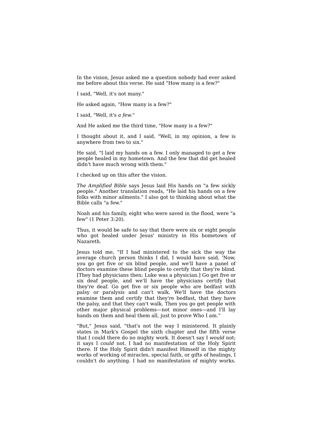In the vision, Jesus asked me a question nobody had ever asked me before about this verse. He said "How many is a few?"

I said, "Well, it's not many."

He asked again, "How many is a few?"

I said, "Well, it's *a few."*

And He asked me the third time, "How many is a few?"

I thought about it, and I said, "Well, in my opinion, a few is anywhere from two to six."

He said, "I laid my hands on a few. I only managed to get a few people healed in my hometown. And the few that did get healed didn't have much wrong with them."

I checked up on this after the vision.

*The Amplified Bible* says Jesus laid His hands on "a few sickly people." Another translation reads, "He laid his hands on a few folks with minor ailments." I also got to thinking about what the Bible calls "a few."

Noah and his family, eight who were saved in the flood, were "a few" (1 Peter 3:20).

Thus, it would be safe to say that there were six or eight people who got healed under Jesus' ministry in His hometown of Nazareth.

Jesus told me, "If I had ministered to the sick the way the average church person thinks I did, I would have said, 'Now, you go get five or six blind people, and we'll have a panel of doctors examine these blind people to certify that they're blind. [They had physicians then; Luke was a physician.] Go get five or six deaf people, and we'll have the physicians certify that they're deaf. Go get five or six people who are bedfast with palsy or paralysis and can't walk. We'll have the doctors examine them and certify that they're bedfast, that they have the palsy, and that they can't walk. Then you go get people with other major physical problems—not minor ones—and I'll lay hands on them and heal them all, just to prove Who I am."

"But," Jesus said, "that's not the way I ministered. It plainly states in Mark's Gospel the sixth chapter and the fifth verse that I could there do no mighty work. It doesn't say I *would* not; it says I *could* not. I had no manifestation of the Holy Spirit there. If the Holy Spirit didn't manifest Himself in the mighty works of working of miracles, special faith, or gifts of healings, I couldn't do anything. I had no manifestation of mighty works.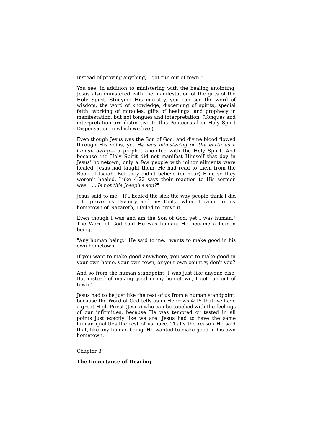Instead of proving anything, I got run out of town."

You see, in addition to ministering with the healing anointing, Jesus also ministered with the manifestation of the gifts of the Holy Spirit. Studying His ministry, you can see the word of wisdom, the word of knowledge, discerning of spirits, special faith, working of miracles, gifts of healings, and prophecy in manifestation, but not tongues and interpretation. (Tongues and interpretation are distinctive to this Pentecostal or Holy Spirit Dispensation in which we live.)

Even though Jesus was the Son of God, and divine blood flowed through His veins, yet *He was ministering on the earth as a human being—* a prophet anointed with the Holy Spirit. And because the Holy Spirit did not manifest Himself that day in Jesus' hometown, only a few people with minor ailments were healed. Jesus had taught them. He had read to them from the Book of Isaiah. But they didn't believe (or hear) Him, so they weren't healed. Luke 4:22 says their reaction to His sermon was, *"... Is not this Joseph's son?"*

Jesus said to me, "If I healed the sick the way people think I did —to prove my Divinity and my Deity—when I came to my hometown of Nazareth, I failed to prove it.

Even though I was and am the Son of God, yet I was human." The Word of God said He was human. He became a human being.

"Any human being," He said to me, "wants to make good in his own hometown.

If you want to make good anywhere, you want to make good in your own home, your own town, or your own country, don't you?

And so from the human standpoint, I was just like anyone else. But instead of making good in my hometown, I got run out of town."

Jesus had to be just like the rest of us from a human standpoint, because the Word of God tells us in Hebrews 4:15 that we have a great High Priest (Jesus) who can be touched with the feelings of our infirmities, because He was tempted or tested in all points just exactly like we are. Jesus had to have the same human qualities the rest of us have. That's the reason He said that, like any human being, He wanted to make good in his own hometown.

## Chapter 3

# **The Importance of Hearing**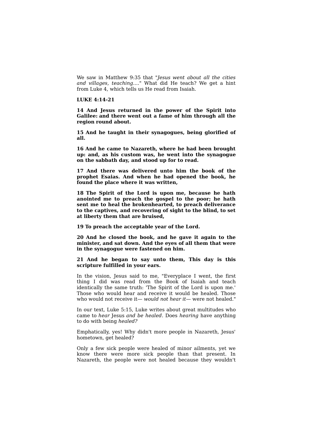We saw in Matthew 9:35 that *"Jesus went about all the cities and villages, teaching...."* What did He teach? We get a hint from Luke 4, which tells us He read from Isaiah.

#### **LUKE 4:14-21**

**14 And Jesus returned in the power of the Spirit into Galilee: and there went out a fame of him through all the region round about.**

**15 And he taught in their synagogues, being glorified of all.**

**16 And he came to Nazareth, where he had been brought up: and, as his custom was, he went into the synagogue on the sabbath day, and stood up for to read.**

**17 And there was delivered unto him the book of the prophet Esaias. And when he had opened the book, he found the place where it was written,**

**18 The Spirit of the Lord is upon me, because he hath anointed me to preach the gospel to the poor; he hath sent me to heal the brokenhearted, to preach deliverance to the captives, and recovering of sight to the blind, to set at liberty them that are bruised,**

# **19 To preach the acceptable year of the Lord.**

**20 And he closed the book, and he gave it again to the minister, and sat down. And the eyes of all them that were in the synagogue were fastened on him.**

#### **21 And he began to say unto them, This day is this scripture fulfilled in your ears.**

In the vision, Jesus said to me, "Everyplace I went, the first thing I did was read from the Book of Isaiah and teach identically the same truth: 'The Spirit of the Lord is upon me.' Those who would hear and receive it would be healed. Those who would not receive it— *would not hear it*— were not healed."

In our text, Luke 5:15, Luke writes about great multitudes who came to *hear* Jesus *and be healed.* Does *hearing* have anything to do with being *healed?*

Emphatically, yes! Why didn't more people in Nazareth, Jesus' hometown, get healed?

Only a few sick people were healed of minor ailments, yet we know there were more sick people than that present. In Nazareth, the people were not healed because they wouldn't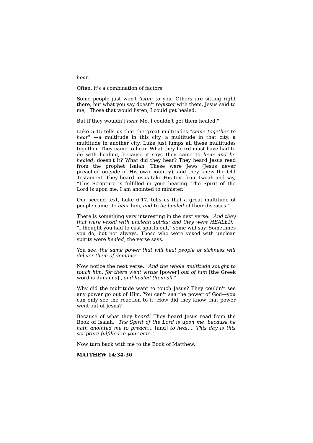*hear.*

Often, it's a combination of factors.

Some people just won't *listen* to you. Others are sitting right there, but what you say doesn't *register* with them. Jesus said to me, "Those that would listen, I could get healed.

But if they wouldn't *hear* Me, I couldn't get them healed."

Luke 5:15 tells us that the great multitudes *"came together to hear"* —a multitude in this city, a multitude in that city, a multitude in another city. Luke just lumps all these multitudes together. They came to hear. What they heard must have had to do with healing, because it says they came to *hear and be healed,* doesn't it? What did they hear? They heard Jesus read from the prophet Isaiah. These were Jews (Jesus never preached outside of His own country), and they knew the Old Testament. They heard Jesus take His text from Isaiah and say, "This Scripture is fulfilled in your hearing. The Spirit of the Lord is upon me. I am anointed to minister."

Our second text, Luke 6:17, tells us that a great multitude of people came "to *hear* him, *and* to *be healed* of their diseases."

There is something very interesting in the next verse: *"And they that were vexed with unclean spirits: and they were HEALED."* "I thought you had to cast spirits out," some will say. Sometimes you do, but not always. Those who were vexed with unclean spirits were *healed,* the verse says.

You see, *the same power that will heal people of sickness will deliver them of demons!*

Now notice the next verse. *"And the whole multitude sought to touch him: for there went virtue* [power] *out of him* [the Greek word is dunamis] *, and healed them all."*

Why did the multitude want to touch Jesus? They couldn't see any power go out of Him. You can't *see* the power of God—you can only see the reaction to it. How did they know that power went out of Jesus?

Because of what they *heard!* They heard Jesus read from the Book of Isaiah, *"The Spirit of the Lord is upon me, because he hath anointed me to preach...* [and] *to heal.... This day is this scripture fulfilled in your ears."*

Now turn back with me to the Book of Matthew.

# **MATTHEW 14:34-36**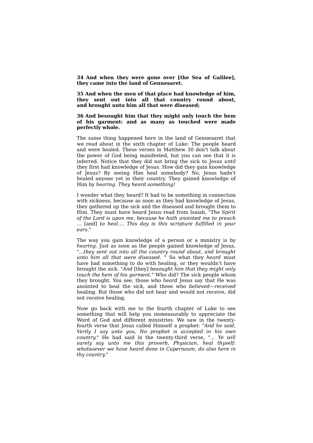**34 And when they were gone over [the Sea of Galilee], they came into the land of Gennesaret.**

**35 And when the men of that place had knowledge of him, they sent out into all that country round about, and brought unto him all that were diseased;**

## **36 And besought him that they might only touch the hem of his garment: and as many as touched were made perfectly whole.**

The same thing happened here in the land of Gennesaret that we read about in the sixth chapter of Luke: The people heard and were healed. These verses in Matthew 30 don't talk about the power of God being manifested, but you can see that it is inferred. Notice that they did not bring the sick to Jesus *until* they first had knowledge of Jesus. How did they gain knowledge of Jesus? By seeing Him heal somebody? No, Jesus hadn't healed anyone yet in their country. They gained knowledge of Him by *hearing. They heard something!*

I wonder what they heard? It had to be something in connection with sickness, because as soon as they had knowledge of Jesus, they gathered up the sick and the diseased and brought them to Him. They must have heard Jesus read from Isaiah, *"The Spirit of the Lord is upon me, because he hath anointed me to preach ...* [and] *to heal.... This day is this scripture fulfilled in your ears."*

The way you gain knowledge of a person or a ministry is by *hearing.* Just as soon as the people gained knowledge of Jesus, *"...they sent out into all the country round about, and brought unto him all that were diseased.* " So what they *heard* must have had something to do with healing, or they wouldn't have brought the sick. *"And* [they] *besought him that they might only touch the hem of his garment."* Who did? The sick people whom they brought. You see, those who *heard* Jesus say that He was anointed to heal the sick, and those who *believed—received* healing. But those who did not hear and would not receive, did not receive healing.

Now go back with me to the fourth chapter of Luke to see something that will help you immeasurably to appreciate the Word of God and different ministries. We saw in the twentyfourth verse that Jesus called Himself a prophet: *"And he said, Verily I say unto you, No prophet is accepted in his own country."* He had said in the twenty-third verse, *"... Ye will surely say unto me this proverb, Physician, heal thyself: whatsoever we have heard done in Capernaum, do also here in thy country."*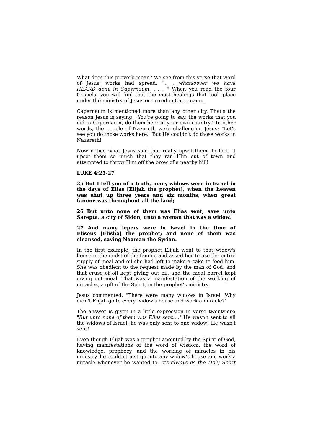What does this proverb mean? We see from this verse that word of Jesus' works had spread: *"..* . *whatsoever we have HEARD done in Capernaum.* . *. . "* When you read the four Gospels, you will find that the most healings that took place under the ministry of Jesus occurred in Capernaum.

Capernaum is mentioned more than any other city. That's the reason Jesus is saying, "You're going to say, the works that you did in Capernaum, do them here in your own country." In other words, the people of Nazareth were challenging Jesus: "Let's see you do those works here." But He couldn't do those works in Nazareth!

Now notice what Jesus said that really upset them. In fact, it upset them so much that they ran Him out of town and attempted to throw Him off the brow of a nearby hill!

## **LUKE 4:25-27**

**25 But I tell you of a truth, many widows were in Israel in the days of Elias [Elijah the prophet], when the heaven was shut up three years and six months, when great famine was throughout all the land;**

**26 But unto none of them was Elias sent, save unto Sarepta, a city of Sidon, unto a woman that was a widow.**

## **27 And many lepers were in Israel in the time of Eliseus [Elisha] the prophet; and none of them was cleansed, saving Naaman the Syrian.**

In the first example, the prophet Elijah went to that widow's house in the midst of the famine and asked her to use the entire supply of meal and oil she had left to make a cake to feed him. She was obedient to the request made by the man of God, and that cruse of oil kept giving out oil, and the meal barrel kept giving out meal. That was a manifestation of the working of miracles, a gift of the Spirit, in the prophet's ministry.

Jesus commented, "There were many widows in Israel. Why didn't Elijah go to every widow's house and work a miracle?"

The answer is given in a little expression in verse twenty-six: *"But unto none of them was Elias sent...."* He wasn't sent to all the widows of Israel; he was only sent to one widow! He wasn't sent!

Even though Elijah was a prophet anointed by the Spirit of God, having manifestations of the word of wisdom, the word of knowledge, prophecy, and the working of miracles in his ministry, he couldn't just go into any widow's house and work a miracle whenever he wanted to. *It's always as the Holy Spirit*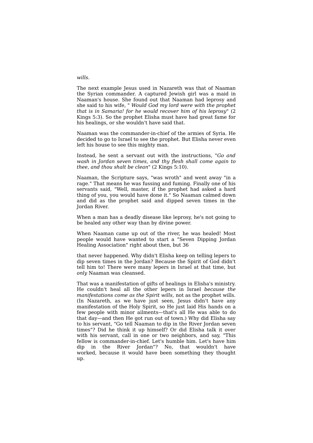# *wills.*

The next example Jesus used in Nazareth was that of Naaman the Syrian commander. A captured Jewish girl was a maid in Naaman's house. She found out that Naaman had leprosy and she said to his wife, " *Would God my lord were with the prophet that is in Samaria! for he would recover him of his leprosy"* (2 Kings 5:3). So the prophet Elisha must have had great fame for his healings, or she wouldn't have said that.

Naaman was the commander-in-chief of the armies of Syria. He decided to go to Israel to see the prophet. But Elisha never even left his house to see this mighty man.

Instead, he sent a servant out with the instructions, *"Go and wash in Jordan seven times, and thy flesh shall come again to thee, and thou shalt be clean"* (2 Kings 5:10).

Naaman, the Scripture says, "was wroth" and went away "in a rage." That means he was fussing and fuming. Finally one of his servants said, "Well, master, if the prophet had asked a hard thing of you, you would have done it." So Naaman calmed down and did as the prophet said and dipped seven times in the Jordan River.

When a man has a deadly disease like leprosy, he's not going to be healed any other way than by divine power.

When Naaman came up out of the river, he was healed! Most people would have wanted to start a "Seven Dipping Jordan Healing Association" right about then, but 36

that never happened. Why didn't Elisha keep on telling lepers to dip seven times in the Jordan? Because the Spirit of God didn't tell him to! There were many lepers in Israel at that time, but *only* Naaman was cleansed.

That was a manifestation of gifts of healings in Elisha's ministry. He couldn't heal all the other lepers in Israel *because the manifestations come as the Spirit wills,* not as the prophet wills. (In Nazareth, as we have just seen, Jesus didn't have any manifestation of the Holy Spirit, so He just laid His hands on a few people with minor ailments—that's all He was able to do that day—and then He got run out of town.) Why did Elisha say to his servant, "Go tell Naaman to dip in the River Jordan seven times"? Did he think it up himself? Or did Elisha talk it over with his servant, call in one or two neighbors, and say, "This fellow is commander-in-chief. Let's humble him. Let's have him dip in the River Jordan"? No, that wouldn't have worked, because it would have been something they thought up.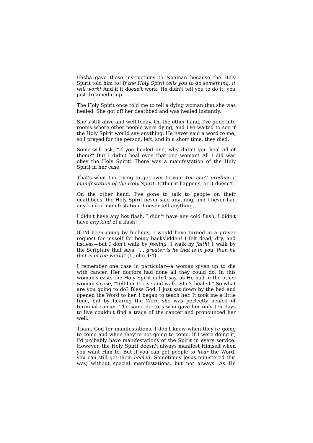Elisha gave those instructions to Naaman because the Holy Spirit told him to! *If the Holy Spirit tells you to do something, it will work!* And if it doesn't work, He didn't tell you to do it; you just dreamed it up.

The Holy Spirit once told me to tell a dying woman that she was healed. She got off her deathbed and was healed instantly.

She's still alive and well today. On the other hand, I've gone into rooms where other people were dying, and I've waited to see if the Holy Spirit would say anything. He never said a word to me, so I prayed for the person, left, and in a short time, they died.

Some will ask, "If you healed *one,* why didn't you heal *all* of them?" But I didn't heal even that one woman! All I did was obey the Holy Spirit! There was a manifestation of the Holy Spirit in her case.

That's what I'm trying to get over to you: *You can't produce a manifestation of the Holy Spirit.* Either it happens, or it doesn't.

On the other hand, I've gone to talk to people on their deathbeds, the Holy Spirit never said anything, and I never had any kind of manifestation. I never felt anything.

I didn't have any hot flash. I didn't have any cold flash. I didn't have *any kind* of a flash!

If I'd been going by feelings, I would have turned in a prayer request for myself for being backslidden! I felt dead, dry, and listless—but I don't walk by *feeling;* I walk by *faith!* I walk by the Scripture that says, "... *greater is he that is in you, than he that is in the world"* (1 John 4:4).

I remember one case in particular—a woman given up to die with cancer. Her doctors had done all they could do. In this woman's case, the Holy Spirit didn't say, as He had in the other woman's case, "Tell her to rise and walk. She's healed." So what are you going to do? Bless God, I just sat down by the bed and opened the Word to her. I began to teach her. It took me a little time, but by hearing the Word she was perfectly healed of terminal cancer. The same doctors who gave her only ten days to live couldn't find a trace of the cancer and pronounced her well.

Thank God for manifestations. I don't know when they're going to come and when they're not going to come. If I were doing it, I'd probably have manifestations of the Spirit in every service. However, the Holy Spirit doesn't always manifest Himself when you want Him to. But if you can get people to *hear* the Word, you can still get them *healed.* Sometimes Jesus ministered this way, without special manifestations, but not always. As He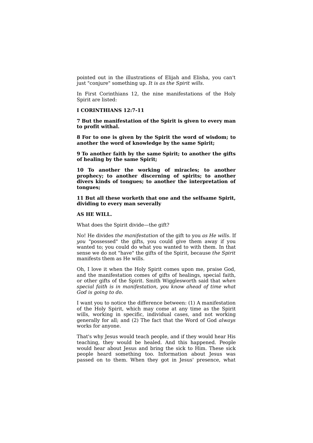pointed out in the illustrations of Elijah and Elisha, you can't just "conjure" something up. *It is as the Spirit wills.*

In First Corinthians 12, the nine manifestations of the Holy Spirit are listed:

#### **I CORINTHIANS 12:7-11**

**7 But the manifestation of the Spirit is given to every man to profit withal.**

**8 For to one is given by the Spirit the word of wisdom; to another the word of knowledge by the same Spirit;**

**9 To another faith by the same Spirit; to another the gifts of healing by the same Spirit;**

**10 To another the working of miracles; to another prophecy; to another discerning of spirits; to another divers kinds of tongues; to another the interpretation of tongues;**

**11 But all these worketh that one and the selfsame Spirit, dividing to every man severally**

#### **AS HE WILL.**

What does the Spirit divide—the gift?

No! He divides *the manifestation* of the gift to you *as He wills.* If *you* "possessed" the gifts, you could give them away if you wanted to; you could do what you wanted to with them. In that sense we do not "have" the gifts of the Spirit, because *the Spirit* manifests them as He wills.

Oh, I love it when the Holy Spirit comes upon me, praise God, and the manifestation comes of gifts of healings, special faith, or other gifts of the Spirit. Smith Wigglesworth said that *when special faith is in manifestation, you know ahead of time what God is going to do.*

I want you to notice the difference between: (1) A manifestation of the Holy Spirit, which may come at any time as the Spirit wills, working in specific, individual cases, and not working generally for all; and (2) The fact that the Word of God *always* works for anyone.

That's why Jesus would teach people, and if they would hear His teaching, they would be healed. And this happened. People would hear about Jesus and bring the sick to Him. These sick people heard something too. Information about Jesus was passed on to them. When they got in Jesus' presence, what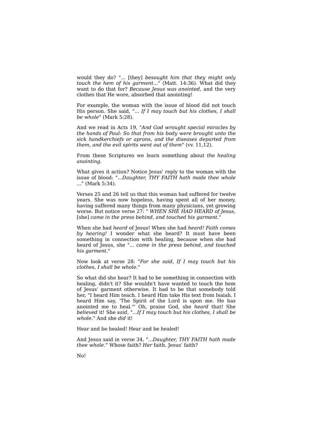would they do? *"...* [they] *besought him that they might only touch the hem of his garment..."* (Matt. 14:36). What did they want to do that for? *Because Jesus was anointed,* and the very clothes that He wore, absorbed that anointing!

For example, the woman with the issue of blood did not touch His person. She said, *"... If I may touch but his clothes, I shall be whole"* (Mark 5:28).

And we read in Acts 19, *"And God wrought special miracles by the hands of Paul: So that from his body were brought unto the sick handkerchiefs or aprons, and the diseases departed from them, and the evil spirits went out of them"* (vv. 11,12).

From these Scriptures we learn something about *the healing anointing.*

What gives it action? Notice Jesus' reply to the woman with the issue of blood: *"...Daughter, THY FAITH hath made thee whole ..."* (Mark 5:34).

Verses 25 and 26 tell us that this woman had suffered for twelve years. She was now hopeless, having spent all of her money, having suffered many things from many physicians, yet growing worse. But notice verse 27: " *WHEN SHE HAD HEARD of Jesus,* [she] *came in the press behind, and touched his garment."*

When she had *heard* of Jesus! When she had *heard! Faith comes by hearing!* I wonder what she heard? It must have been something in connection with healing, because when she had heard of Jesus, she *"... came in the press behind, and touched his garment."*

Now look at verse 28: *"For she said, If I may touch but his clothes, I shall be whole."*

So what did she hear? It had to be something in connection with healing, didn't it? She wouldn't have wanted to touch the hem of Jesus' garment otherwise. It had to be that somebody told her, "I heard Him teach. I heard Him take His text from Isaiah. I heard Him say, 'The Spirit of the Lord is upon me. He has anointed me to heal.'" Oh, praise God, she *heard* that! She *believed* it! She *said, "...If I may touch but his clothes, I shall be whole."* And she *did* it!

Hear and be healed! Hear and be healed!

And Jesus said in verse 34, *"...Daughter, THY FAITH hath made thee whole."* Whose faith? *Her* faith. Jesus' faith?

No!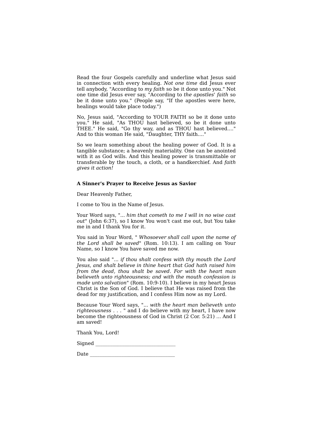Read the four Gospels carefully and underline what Jesus said in connection with every healing. *Not one time* did Jesus ever tell anybody, "According to *my faith* so be it done unto you." Not one time did Jesus ever say, "According to *the apostles' faith* so be it done unto you." (People say, "If the apostles were here, healings would take place today.")

No, Jesus said, "According to YOUR FAITH so be it done unto you." He said, "As THOU hast believed, so be it done unto THEE." He said, "Go thy way, and as THOU hast believed...." And to this woman He said, "Daughter, THY faith...."

So we learn something about the healing power of God. It is a tangible substance; a heavenly materiality. One can be anointed with it as God wills. And this healing power is transmittable or transferable by the touch, a cloth, or a handkerchief. And *faith gives it action!*

## **A Sinner's Prayer to Receive Jesus as Savior**

Dear Heavenly Father,

I come to You in the Name of Jesus.

Your Word says, *"... him that cometh to me I will in no wise cast out"* (John 6:37), so I know You won't cast me out, but You take me in and I thank You for it.

You said in Your Word, " *Whosoever shall call upon the name of the Lord shall be saved"* (Rom. 10:13). I am calling on Your Name, so I know You have saved me now.

You also said *"... if thou shalt confess with thy mouth the Lord Jesus, and shalt believe in thine heart that God hath raised him from the dead, thou shalt be saved. For with the heart man believeth unto righteousness; and with the mouth confession is made unto salvation"* (Rom. 10:9-10). I believe in my heart Jesus Christ is the Son of God. I believe that He was raised from the dead for my justification, and I confess Him now as my Lord.

Because Your Word says, "... *with the heart man believeth unto righteousness* . . . " and I do believe with my heart, I have now become the righteousness of God in Christ (2 Cor. 5:21) ... And I am saved!

Thank You, Lord!

Signed \_\_\_\_\_\_\_\_\_\_\_\_\_\_\_\_\_\_\_\_\_\_\_\_\_\_\_\_\_\_\_\_\_

Date \_\_\_\_\_\_\_\_\_\_\_\_\_\_\_\_\_\_\_\_\_\_\_\_\_\_\_\_\_\_\_\_\_\_\_